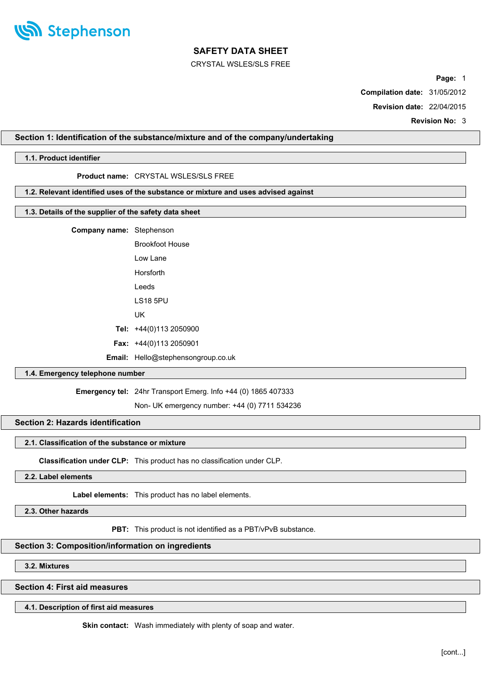

CRYSTAL WSLES/SLS FREE

**Page:** 1

**Compilation date:** 31/05/2012

**Revision date:** 22/04/2015

**Revision No:** 3

# **Section 1: Identification of the substance/mixture and of the company/undertaking**

# **1.1. Product identifier**

# **Product name:** CRYSTAL WSLES/SLS FREE

# **1.2. Relevant identified uses of the substance or mixture and uses advised against**

# **1.3. Details of the supplier of the safety data sheet**

**Company name:** Stephenson

| Brookfoot House                |
|--------------------------------|
| l ow Lane                      |
| Horsforth                      |
| I eeds                         |
| I S18 5PU                      |
| UК                             |
| Tel: $+44(0)1132050900$        |
| <b>Fax:</b> $+44(0)1132050901$ |
|                                |

# **Email:** Hello@stephensongroup.co.uk

# **1.4. Emergency telephone number**

#### **Emergency tel:** 24hr Transport Emerg. Info +44 (0) 1865 407333

Non- UK emergency number: +44 (0) 7711 534236

# **Section 2: Hazards identification**

# **2.1. Classification of the substance or mixture**

**Classification under CLP:** This product has no classification under CLP.

**2.2. Label elements**

**Label elements:** This product has no label elements.

**2.3. Other hazards**

**PBT:** This product is not identified as a PBT/vPvB substance.

### **Section 3: Composition/information on ingredients**

**3.2. Mixtures**

**Section 4: First aid measures**

**4.1. Description of first aid measures**

**Skin contact:** Wash immediately with plenty of soap and water.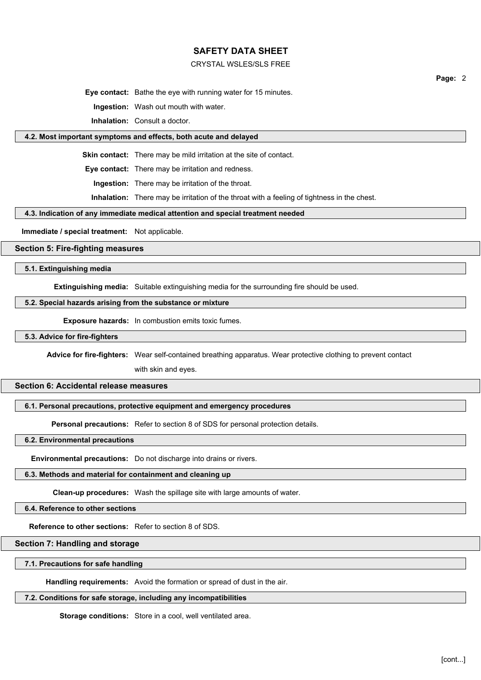### CRYSTAL WSLES/SLS FREE

**Page:** 2

**Eye contact:** Bathe the eye with running water for 15 minutes.

**Ingestion:** Wash out mouth with water.

**Inhalation:** Consult a doctor.

# **4.2. Most important symptoms and effects, both acute and delayed**

**Skin contact:** There may be mild irritation at the site of contact.

**Eye contact:** There may be irritation and redness.

**Ingestion:** There may be irritation of the throat.

**Inhalation:** There may be irritation of the throat with a feeling of tightness in the chest.

#### **4.3. Indication of any immediate medical attention and special treatment needed**

**Immediate / special treatment:** Not applicable.

#### **Section 5: Fire-fighting measures**

**5.1. Extinguishing media**

**Extinguishing media:** Suitable extinguishing media for the surrounding fire should be used.

#### **5.2. Special hazards arising from the substance or mixture**

**Exposure hazards:** In combustion emits toxic fumes.

**5.3. Advice for fire-fighters**

**Advice for fire-fighters:** Wear self-contained breathing apparatus. Wear protective clothing to prevent contact

with skin and eyes.

# **Section 6: Accidental release measures**

# **6.1. Personal precautions, protective equipment and emergency procedures**

**Personal precautions:** Refer to section 8 of SDS for personal protection details.

# **6.2. Environmental precautions**

**Environmental precautions:** Do not discharge into drains or rivers.

# **6.3. Methods and material for containment and cleaning up**

**Clean-up procedures:** Wash the spillage site with large amounts of water.

**6.4. Reference to other sections**

**Reference to other sections:** Refer to section 8 of SDS.

# **Section 7: Handling and storage**

#### **7.1. Precautions for safe handling**

**Handling requirements:** Avoid the formation or spread of dust in the air.

#### **7.2. Conditions for safe storage, including any incompatibilities**

**Storage conditions:** Store in a cool, well ventilated area.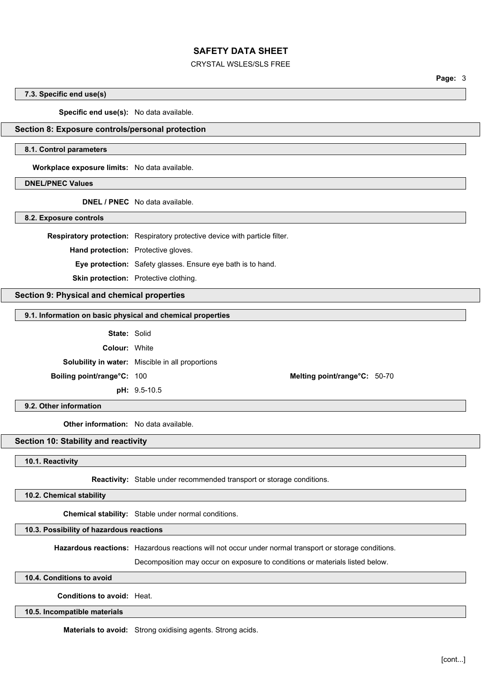#### CRYSTAL WSLES/SLS FREE

**Page:** 3

#### **7.3. Specific end use(s)**

**Specific end use(s):** No data available.

## **Section 8: Exposure controls/personal protection**

#### **8.1. Control parameters**

**Workplace exposure limits:** No data available.

#### **DNEL/PNEC Values**

**DNEL / PNEC** No data available.

**8.2. Exposure controls**

**Respiratory protection:** Respiratory protective device with particle filter.

**Hand protection:** Protective gloves.

**Eye protection:** Safety glasses. Ensure eye bath is to hand.

**Skin protection:** Protective clothing.

# **Section 9: Physical and chemical properties**

# **9.1. Information on basic physical and chemical properties**

**State:** Solid

**Colour:** White

**Solubility in water:** Miscible in all proportions

**pH:** 9.5-10.5

**Boiling point/range°C:** 100 **Melting point/range°C:** 50-70

**9.2. Other information**

**Other information:** No data available.

# **Section 10: Stability and reactivity**

## **10.1. Reactivity**

**Reactivity:** Stable under recommended transport or storage conditions.

**10.2. Chemical stability**

**Chemical stability:** Stable under normal conditions.

#### **10.3. Possibility of hazardous reactions**

**Hazardous reactions:** Hazardous reactions will not occur under normal transport or storage conditions.

Decomposition may occur on exposure to conditions or materials listed below.

#### **10.4. Conditions to avoid**

**Conditions to avoid:** Heat.

#### **10.5. Incompatible materials**

**Materials to avoid:** Strong oxidising agents. Strong acids.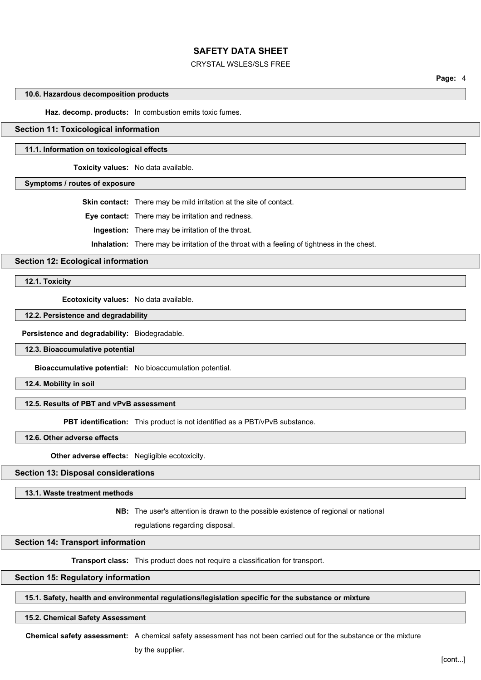#### CRYSTAL WSLES/SLS FREE

**Page:** 4

# **10.6. Hazardous decomposition products**

**Haz. decomp. products:** In combustion emits toxic fumes.

#### **Section 11: Toxicological information**

#### **11.1. Information on toxicological effects**

**Toxicity values:** No data available.

**Symptoms / routes of exposure**

**Skin contact:** There may be mild irritation at the site of contact.

**Eye contact:** There may be irritation and redness.

**Ingestion:** There may be irritation of the throat.

**Inhalation:** There may be irritation of the throat with a feeling of tightness in the chest.

#### **Section 12: Ecological information**

**12.1. Toxicity**

**Ecotoxicity values:** No data available.

## **12.2. Persistence and degradability**

**Persistence and degradability:** Biodegradable.

#### **12.3. Bioaccumulative potential**

**Bioaccumulative potential:** No bioaccumulation potential.

**12.4. Mobility in soil**

## **12.5. Results of PBT and vPvB assessment**

**PBT identification:** This product is not identified as a PBT/vPvB substance.

**12.6. Other adverse effects**

**Other adverse effects:** Negligible ecotoxicity.

# **Section 13: Disposal considerations**

#### **13.1. Waste treatment methods**

**NB:** The user's attention is drawn to the possible existence of regional or national

regulations regarding disposal.

# **Section 14: Transport information**

**Transport class:** This product does not require a classification for transport.

#### **Section 15: Regulatory information**

### **15.1. Safety, health and environmental regulations/legislation specific for the substance or mixture**

#### **15.2. Chemical Safety Assessment**

**Chemical safety assessment:** A chemical safety assessment has not been carried out for the substance or the mixture

by the supplier.